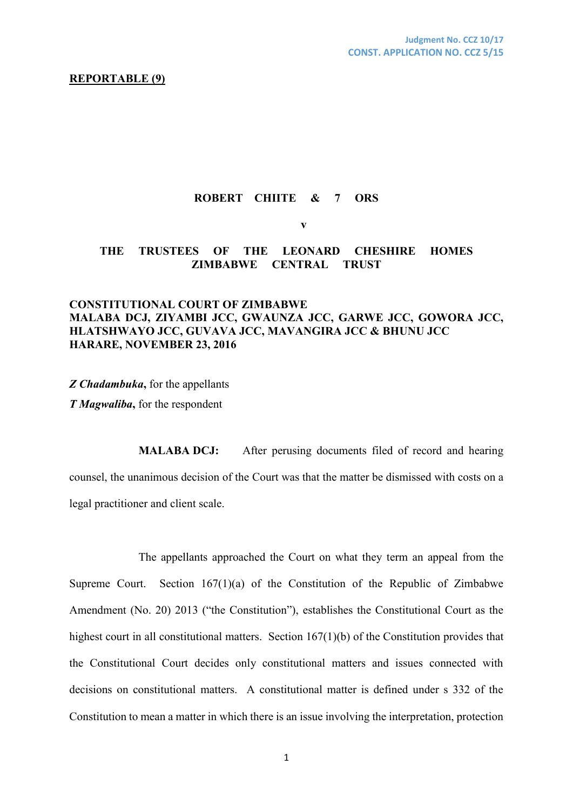#### **REPORTABLE (9)**

### **ROBERT CHIITE & 7 ORS**

**v**

## **THE TRUSTEES OF THE LEONARD CHESHIRE HOMES ZIMBABWE CENTRAL TRUST**

# **CONSTITUTIONAL COURT OF ZIMBABWE MALABA DCJ, ZIYAMBI JCC, GWAUNZA JCC, GARWE JCC, GOWORA JCC, HLATSHWAYO JCC, GUVAVA JCC, MAVANGIRA JCC & BHUNU JCC HARARE, NOVEMBER 23, 2016**

*Z Chadambuka***,** for the appellants

*T Magwaliba***,** for the respondent

**MALABA DCJ:** After perusing documents filed of record and hearing counsel, the unanimous decision of the Court was that the matter be dismissed with costs on a legal practitioner and client scale.

The appellants approached the Court on what they term an appeal from the Supreme Court. Section 167(1)(a) of the Constitution of the Republic of Zimbabwe Amendment (No. 20) 2013 ("the Constitution"), establishes the Constitutional Court as the highest court in all constitutional matters. Section 167(1)(b) of the Constitution provides that the Constitutional Court decides only constitutional matters and issues connected with decisions on constitutional matters. A constitutional matter is defined under s 332 of the Constitution to mean a matter in which there is an issue involving the interpretation, protection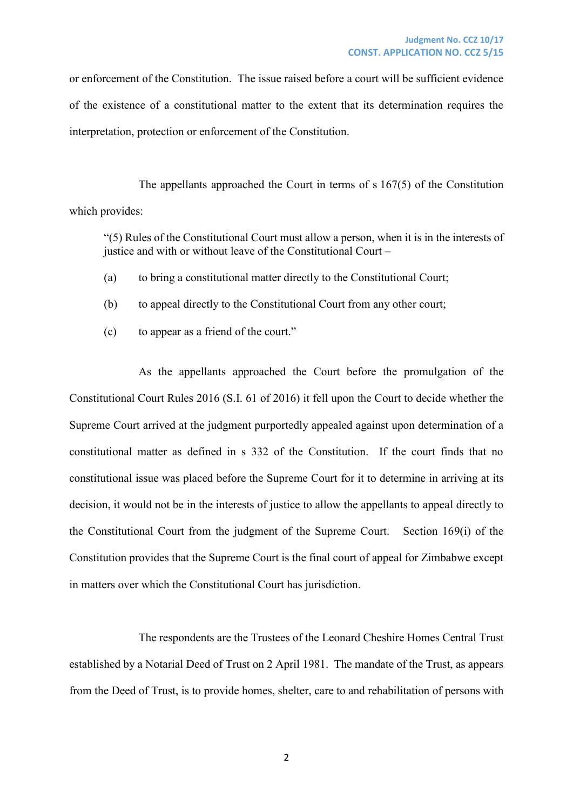or enforcement of the Constitution. The issue raised before a court will be sufficient evidence of the existence of a constitutional matter to the extent that its determination requires the interpretation, protection or enforcement of the Constitution.

The appellants approached the Court in terms of s 167(5) of the Constitution which provides:

"(5) Rules of the Constitutional Court must allow a person, when it is in the interests of justice and with or without leave of the Constitutional Court –

- (a) to bring a constitutional matter directly to the Constitutional Court;
- (b) to appeal directly to the Constitutional Court from any other court;
- (c) to appear as a friend of the court."

As the appellants approached the Court before the promulgation of the Constitutional Court Rules 2016 (S.I. 61 of 2016) it fell upon the Court to decide whether the Supreme Court arrived at the judgment purportedly appealed against upon determination of a constitutional matter as defined in s 332 of the Constitution. If the court finds that no constitutional issue was placed before the Supreme Court for it to determine in arriving at its decision, it would not be in the interests of justice to allow the appellants to appeal directly to the Constitutional Court from the judgment of the Supreme Court. Section 169(i) of the Constitution provides that the Supreme Court is the final court of appeal for Zimbabwe except in matters over which the Constitutional Court has jurisdiction.

The respondents are the Trustees of the Leonard Cheshire Homes Central Trust established by a Notarial Deed of Trust on 2 April 1981. The mandate of the Trust, as appears from the Deed of Trust, is to provide homes, shelter, care to and rehabilitation of persons with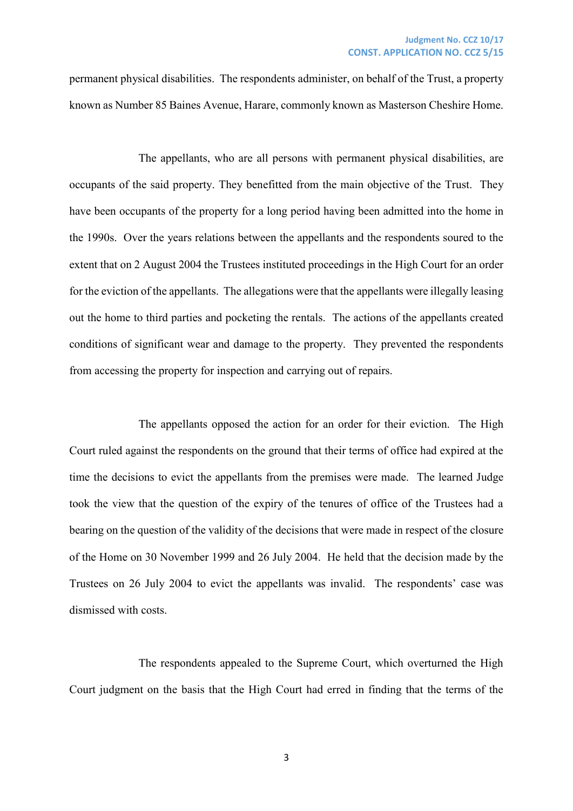permanent physical disabilities. The respondents administer, on behalf of the Trust, a property known as Number 85 Baines Avenue, Harare, commonly known as Masterson Cheshire Home.

The appellants, who are all persons with permanent physical disabilities, are occupants of the said property. They benefitted from the main objective of the Trust. They have been occupants of the property for a long period having been admitted into the home in the 1990s. Over the years relations between the appellants and the respondents soured to the extent that on 2 August 2004 the Trustees instituted proceedings in the High Court for an order for the eviction of the appellants. The allegations were that the appellants were illegally leasing out the home to third parties and pocketing the rentals. The actions of the appellants created conditions of significant wear and damage to the property. They prevented the respondents from accessing the property for inspection and carrying out of repairs.

The appellants opposed the action for an order for their eviction. The High Court ruled against the respondents on the ground that their terms of office had expired at the time the decisions to evict the appellants from the premises were made. The learned Judge took the view that the question of the expiry of the tenures of office of the Trustees had a bearing on the question of the validity of the decisions that were made in respect of the closure of the Home on 30 November 1999 and 26 July 2004. He held that the decision made by the Trustees on 26 July 2004 to evict the appellants was invalid. The respondents' case was dismissed with costs.

The respondents appealed to the Supreme Court, which overturned the High Court judgment on the basis that the High Court had erred in finding that the terms of the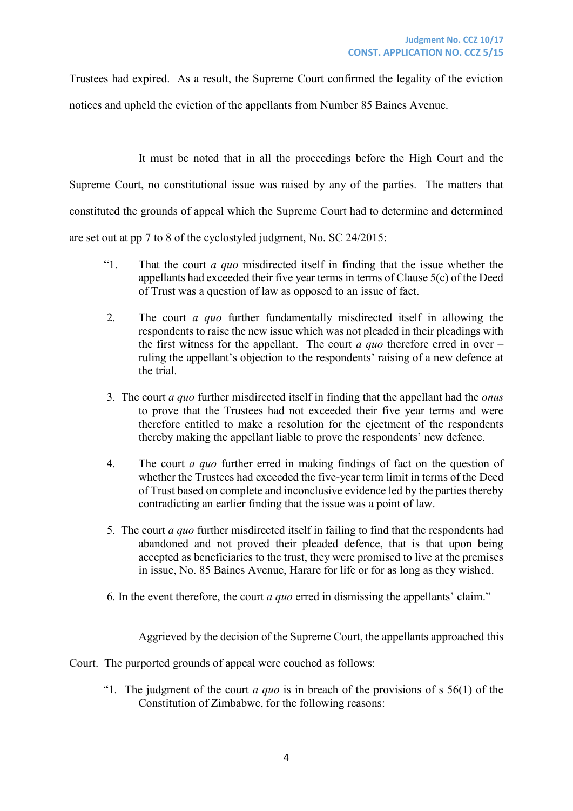Trustees had expired. As a result, the Supreme Court confirmed the legality of the eviction notices and upheld the eviction of the appellants from Number 85 Baines Avenue.

It must be noted that in all the proceedings before the High Court and the Supreme Court, no constitutional issue was raised by any of the parties. The matters that constituted the grounds of appeal which the Supreme Court had to determine and determined are set out at pp 7 to 8 of the cyclostyled judgment, No. SC 24/2015:

- "1. That the court *a quo* misdirected itself in finding that the issue whether the appellants had exceeded their five year terms in terms of Clause 5(c) of the Deed of Trust was a question of law as opposed to an issue of fact.
- 2. The court *a quo* further fundamentally misdirected itself in allowing the respondents to raise the new issue which was not pleaded in their pleadings with the first witness for the appellant. The court *a quo* therefore erred in over – ruling the appellant's objection to the respondents' raising of a new defence at the trial.
- 3. The court *a quo* further misdirected itself in finding that the appellant had the *onus* to prove that the Trustees had not exceeded their five year terms and were therefore entitled to make a resolution for the ejectment of the respondents thereby making the appellant liable to prove the respondents' new defence.
- 4. The court *a quo* further erred in making findings of fact on the question of whether the Trustees had exceeded the five-year term limit in terms of the Deed of Trust based on complete and inconclusive evidence led by the parties thereby contradicting an earlier finding that the issue was a point of law.
- 5. The court *a quo* further misdirected itself in failing to find that the respondents had abandoned and not proved their pleaded defence, that is that upon being accepted as beneficiaries to the trust, they were promised to live at the premises in issue, No. 85 Baines Avenue, Harare for life or for as long as they wished.
- 6. In the event therefore, the court *a quo* erred in dismissing the appellants' claim."

Aggrieved by the decision of the Supreme Court, the appellants approached this



"1. The judgment of the court *a quo* is in breach of the provisions of s 56(1) of the Constitution of Zimbabwe, for the following reasons: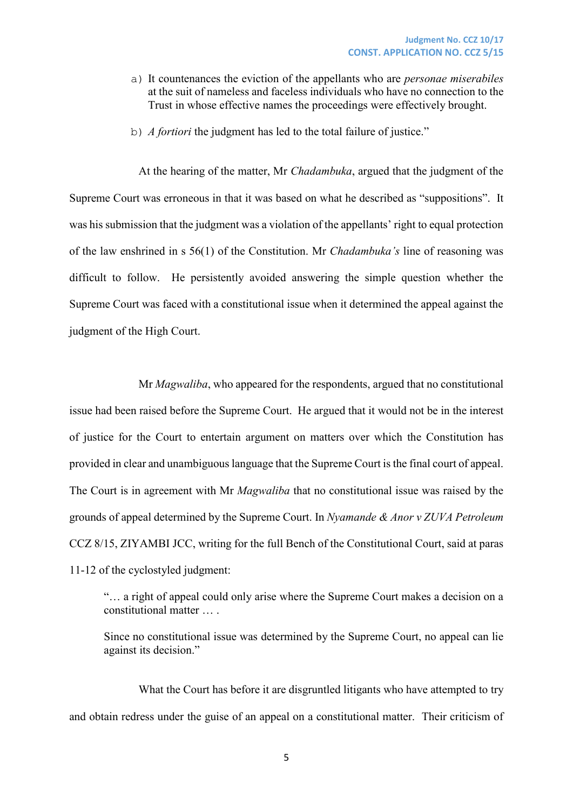- a) It countenances the eviction of the appellants who are *personae miserabiles* at the suit of nameless and faceless individuals who have no connection to the Trust in whose effective names the proceedings were effectively brought.
- b) *A fortiori* the judgment has led to the total failure of justice."

At the hearing of the matter, Mr *Chadambuka*, argued that the judgment of the Supreme Court was erroneous in that it was based on what he described as "suppositions". It was his submission that the judgment was a violation of the appellants' right to equal protection of the law enshrined in s 56(1) of the Constitution. Mr *Chadambuka's* line of reasoning was difficult to follow. He persistently avoided answering the simple question whether the Supreme Court was faced with a constitutional issue when it determined the appeal against the judgment of the High Court.

Mr *Magwaliba*, who appeared for the respondents, argued that no constitutional issue had been raised before the Supreme Court. He argued that it would not be in the interest of justice for the Court to entertain argument on matters over which the Constitution has provided in clear and unambiguous language that the Supreme Court is the final court of appeal. The Court is in agreement with Mr *Magwaliba* that no constitutional issue was raised by the grounds of appeal determined by the Supreme Court. In *Nyamande & Anor v ZUVA Petroleum*  CCZ 8/15, ZIYAMBI JCC, writing for the full Bench of the Constitutional Court, said at paras 11-12 of the cyclostyled judgment:

"… a right of appeal could only arise where the Supreme Court makes a decision on a constitutional matter … .

Since no constitutional issue was determined by the Supreme Court, no appeal can lie against its decision."

What the Court has before it are disgruntled litigants who have attempted to try and obtain redress under the guise of an appeal on a constitutional matter. Their criticism of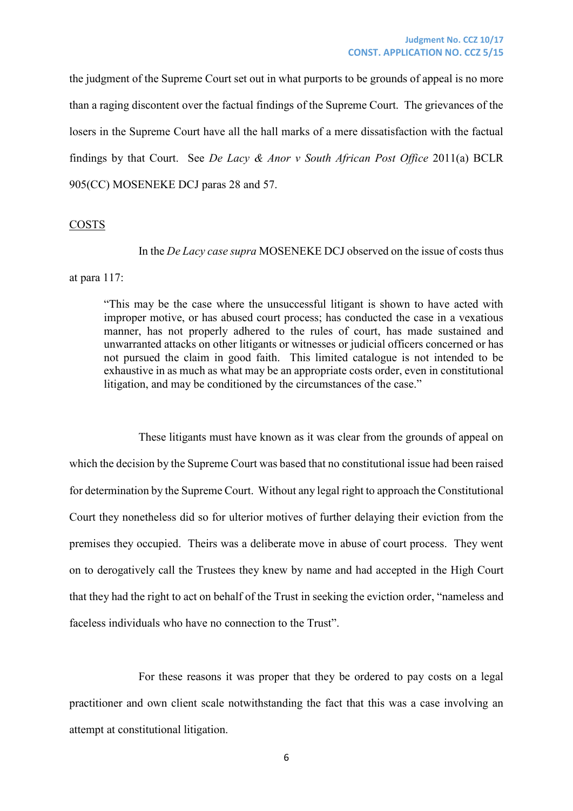the judgment of the Supreme Court set out in what purports to be grounds of appeal is no more than a raging discontent over the factual findings of the Supreme Court. The grievances of the losers in the Supreme Court have all the hall marks of a mere dissatisfaction with the factual findings by that Court. See *De Lacy & Anor v South African Post Office* 2011(a) BCLR 905(CC) MOSENEKE DCJ paras 28 and 57.

#### COSTS

In the *De Lacy case supra* MOSENEKE DCJ observed on the issue of costs thus

at para 117:

"This may be the case where the unsuccessful litigant is shown to have acted with improper motive, or has abused court process; has conducted the case in a vexatious manner, has not properly adhered to the rules of court, has made sustained and unwarranted attacks on other litigants or witnesses or judicial officers concerned or has not pursued the claim in good faith. This limited catalogue is not intended to be exhaustive in as much as what may be an appropriate costs order, even in constitutional litigation, and may be conditioned by the circumstances of the case."

These litigants must have known as it was clear from the grounds of appeal on which the decision by the Supreme Court was based that no constitutional issue had been raised for determination by the Supreme Court. Without any legal right to approach the Constitutional Court they nonetheless did so for ulterior motives of further delaying their eviction from the premises they occupied. Theirs was a deliberate move in abuse of court process. They went on to derogatively call the Trustees they knew by name and had accepted in the High Court that they had the right to act on behalf of the Trust in seeking the eviction order, "nameless and faceless individuals who have no connection to the Trust".

For these reasons it was proper that they be ordered to pay costs on a legal practitioner and own client scale notwithstanding the fact that this was a case involving an attempt at constitutional litigation.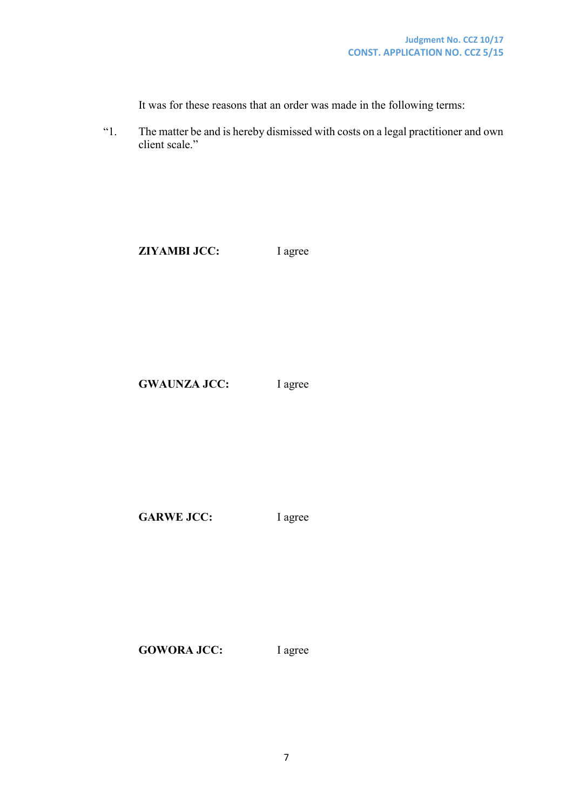It was for these reasons that an order was made in the following terms:

"1. The matter be and is hereby dismissed with costs on a legal practitioner and own client scale."

**ZIYAMBI JCC:** I agree

GWAUNZA JCC: I agree

GARWE JCC: I agree

GOWORA JCC: lagree